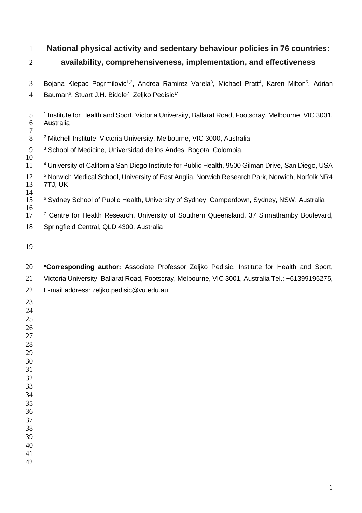### **National physical activity and sedentary behaviour policies in 76 countries:**

**availability, comprehensiveness, implementation, and effectiveness**

3 Bojana Klepac Pogrmilovic<sup>1,2</sup>, Andrea Ramirez Varela<sup>3</sup>, Michael Pratt<sup>4</sup>, Karen Milton<sup>5</sup>, Adrian 4 Bauman<sup>6</sup>, Stuart J.H. Biddle<sup>7</sup>, Zeljko Pedisic<sup>1\*</sup>

- <sup>1</sup> Institute for Health and Sport, Victoria University, Ballarat Road, Footscray, Melbourne, VIC 3001, <br>6 Australia **Australia**
- Mitchell Institute, Victoria University, Melbourne, VIC 3000, Australia
- 9 <sup>3</sup> School of Medicine, Universidad de los Andes, Bogota, Colombia.
- $\begin{array}{c} 10 \\ 11 \end{array}$ <sup>4</sup> University of California San Diego Institute for Public Health, 9500 Gilman Drive, San Diego, USA
- <sup>5</sup> Norwich Medical School, University of East Anglia, Norwich Research Park, Norwich, Norfolk NR4<br>13 7TJ, UK 7TJ, UK
- $\frac{14}{15}$ <sup>6</sup> Sydney School of Public Health, University of Sydney, Camperdown, Sydney, NSW, Australia
- 17 <sup>7</sup> Centre for Health Research, University of Southern Queensland, 37 Sinnathamby Boulevard,
- Springfield Central, QLD 4300, Australia
- 

| 20 | *Corresponding author: Associate Professor Zeljko Pedisic, Institute for Health and Sport,        |
|----|---------------------------------------------------------------------------------------------------|
| 21 | Victoria University, Ballarat Road, Footscray, Melbourne, VIC 3001, Australia Tel.: +61399195275, |
| 22 | E-mail address: zeljko.pedisic@vu.edu.au                                                          |
| 23 |                                                                                                   |
| 24 |                                                                                                   |
| 25 |                                                                                                   |
| 26 |                                                                                                   |
| 27 |                                                                                                   |
|    |                                                                                                   |
| 28 |                                                                                                   |
| 29 |                                                                                                   |
| 30 |                                                                                                   |
| 31 |                                                                                                   |
| 32 |                                                                                                   |
| 33 |                                                                                                   |
| 34 |                                                                                                   |
| 35 |                                                                                                   |
| 36 |                                                                                                   |
| 37 |                                                                                                   |
| 38 |                                                                                                   |
| 39 |                                                                                                   |
| 40 |                                                                                                   |
| 41 |                                                                                                   |
| 42 |                                                                                                   |
|    |                                                                                                   |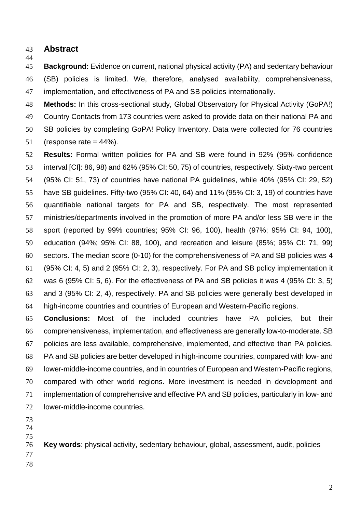- **Abstract**
- 

 **Background:** Evidence on current, national physical activity (PA) and sedentary behaviour (SB) policies is limited. We, therefore, analysed availability, comprehensiveness, implementation, and effectiveness of PA and SB policies internationally.

 **Methods:** In this cross-sectional study, Global Observatory for Physical Activity (GoPA!) Country Contacts from 173 countries were asked to provide data on their national PA and SB policies by completing GoPA! Policy Inventory. Data were collected for 76 countries 51 (response rate  $= 44\%$ ).

 **Results:** Formal written policies for PA and SB were found in 92% (95% confidence interval [CI]: 86, 98) and 62% (95% CI: 50, 75) of countries, respectively. Sixty-two percent (95% CI: 51, 73) of countries have national PA guidelines, while 40% (95% CI: 29, 52) have SB guidelines. Fifty-two (95% CI: 40, 64) and 11% (95% CI: 3, 19) of countries have quantifiable national targets for PA and SB, respectively. The most represented ministries/departments involved in the promotion of more PA and/or less SB were in the sport (reported by 99% countries; 95% CI: 96, 100), health (97%; 95% CI: 94, 100), education (94%; 95% CI: 88, 100), and recreation and leisure (85%; 95% CI: 71, 99) sectors. The median score (0-10) for the comprehensiveness of PA and SB policies was 4 (95% CI: 4, 5) and 2 (95% CI: 2, 3), respectively. For PA and SB policy implementation it was 6 (95% CI: 5, 6). For the effectiveness of PA and SB policies it was 4 (95% CI: 3, 5) and 3 (95% CI: 2, 4), respectively. PA and SB policies were generally best developed in high-income countries and countries of European and Western-Pacific regions.

 **Conclusions:** Most of the included countries have PA policies, but their comprehensiveness, implementation, and effectiveness are generally low-to-moderate. SB policies are less available, comprehensive, implemented, and effective than PA policies. PA and SB policies are better developed in high-income countries, compared with low- and lower-middle-income countries, and in countries of European and Western-Pacific regions, compared with other world regions. More investment is needed in development and implementation of comprehensive and effective PA and SB policies, particularly in low- and lower-middle-income countries.

- 
- 

**Key words**: physical activity, sedentary behaviour, global, assessment, audit, policies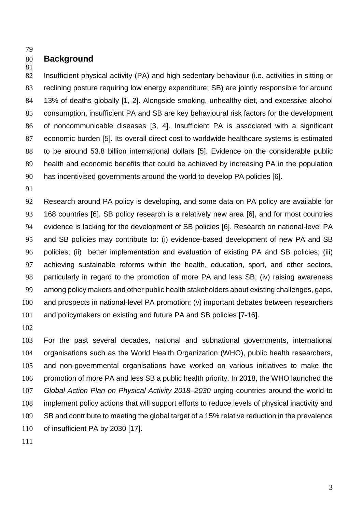#### **Background**

82 Insufficient physical activity (PA) and high sedentary behaviour (i.e. activities in sitting or reclining posture requiring low energy expenditure; SB) are jointly responsible for around 13% of deaths globally [1, 2]. Alongside smoking, unhealthy diet, and excessive alcohol consumption, insufficient PA and SB are key behavioural risk factors for the development of noncommunicable diseases [3, 4]. Insufficient PA is associated with a significant economic burden [5]. Its overall direct cost to worldwide healthcare systems is estimated to be around 53.8 billion international dollars [5]. Evidence on the considerable public health and economic benefits that could be achieved by increasing PA in the population has incentivised governments around the world to develop PA policies [6].

 Research around PA policy is developing, and some data on PA policy are available for 168 countries [6]. SB policy research is a relatively new area [6], and for most countries evidence is lacking for the development of SB policies [6]. Research on national-level PA and SB policies may contribute to: (i) evidence-based development of new PA and SB policies; (ii) better implementation and evaluation of existing PA and SB policies; (iii) achieving sustainable reforms within the health, education, sport, and other sectors, particularly in regard to the promotion of more PA and less SB; (iv) raising awareness among policy makers and other public health stakeholders about existing challenges, gaps, and prospects in national-level PA promotion; (v) important debates between researchers and policymakers on existing and future PA and SB policies [7-16].

 For the past several decades, national and subnational governments, international organisations such as the World Health Organization (WHO), public health researchers, and non-governmental organisations have worked on various initiatives to make the promotion of more PA and less SB a public health priority. In 2018, the WHO launched the *Global Action Plan on Physical Activity 2018–2030* urging countries around the world to implement policy actions that will support efforts to reduce levels of physical inactivity and SB and contribute to meeting the global target of a 15% relative reduction in the prevalence of insufficient PA by 2030 [17].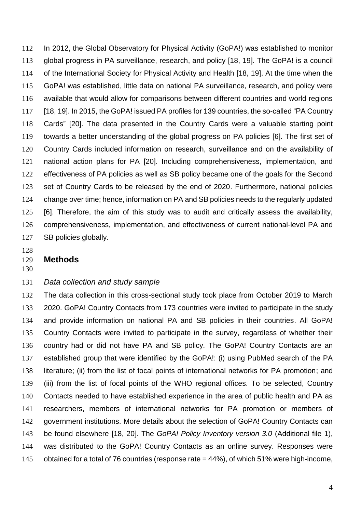In 2012, the Global Observatory for Physical Activity (GoPA!) was established to monitor global progress in PA surveillance, research, and policy [18, 19]. The GoPA! is a council of the International Society for Physical Activity and Health [18, 19]. At the time when the GoPA! was established, little data on national PA surveillance, research, and policy were available that would allow for comparisons between different countries and world regions [18, 19]. In 2015, the GoPA! issued PA profiles for 139 countries, the so-called "PA Country Cards" [20]. The data presented in the Country Cards were a valuable starting point towards a better understanding of the global progress on PA policies [6]. The first set of Country Cards included information on research, surveillance and on the availability of national action plans for PA [20]. Including comprehensiveness, implementation, and effectiveness of PA policies as well as SB policy became one of the goals for the Second set of Country Cards to be released by the end of 2020. Furthermore, national policies change over time; hence, information on PA and SB policies needs to the regularly updated [6]. Therefore, the aim of this study was to audit and critically assess the availability, comprehensiveness, implementation, and effectiveness of current national-level PA and SB policies globally.

#### **Methods**

#### *Data collection and study sample*

 The data collection in this cross-sectional study took place from October 2019 to March 2020. GoPA! Country Contacts from 173 countries were invited to participate in the study and provide information on national PA and SB policies in their countries. All GoPA! Country Contacts were invited to participate in the survey, regardless of whether their country had or did not have PA and SB policy. The GoPA! Country Contacts are an established group that were identified by the GoPA!: (i) using PubMed search of the PA literature; (ii) from the list of focal points of international networks for PA promotion; and (iii) from the list of focal points of the WHO regional offices. To be selected, Country Contacts needed to have established experience in the area of public health and PA as researchers, members of international networks for PA promotion or members of government institutions. More details about the selection of GoPA! Country Contacts can be found elsewhere [18, 20]. The *GoPA! Policy Inventory version 3.0* (Additional file 1), was distributed to the GoPA! Country Contacts as an online survey. Responses were obtained for a total of 76 countries (response rate = 44%), of which 51% were high-income,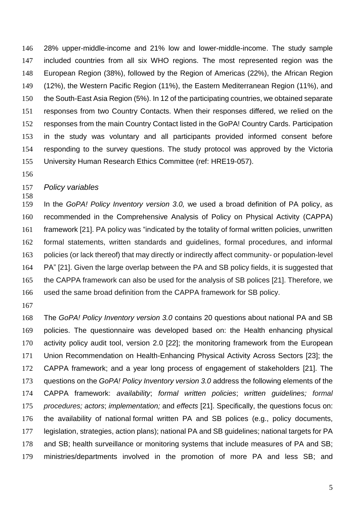28% upper-middle-income and 21% low and lower-middle-income. The study sample included countries from all six WHO regions. The most represented region was the European Region (38%), followed by the Region of Americas (22%), the African Region (12%), the Western Pacific Region (11%), the Eastern Mediterranean Region (11%), and the South-East Asia Region (5%). In 12 of the participating countries, we obtained separate responses from two Country Contacts. When their responses differed, we relied on the responses from the main Country Contact listed in the GoPA! Country Cards. Participation in the study was voluntary and all participants provided informed consent before responding to the survey questions. The study protocol was approved by the Victoria University Human Research Ethics Committee (ref: HRE19-057).

#### *Policy variables*

 In the *GoPA! Policy Inventory version 3.0,* we used a broad definition of PA policy, as recommended in the Comprehensive Analysis of Policy on Physical Activity (CAPPA) framework [21]. PA policy was "indicated by the totality of formal written policies, unwritten formal statements, written standards and guidelines, formal procedures, and informal policies (or lack thereof) that may directly or indirectly affect community- or population-level PA" [21]. Given the large overlap between the PA and SB policy fields, it is suggested that the CAPPA framework can also be used for the analysis of SB polices [21]. Therefore, we used the same broad definition from the CAPPA framework for SB policy*.* 

 The *GoPA! Policy Inventory version 3.0* contains 20 questions about national PA and SB policies. The questionnaire was developed based on: the Health enhancing physical 170 activity policy audit tool, version 2.0 [22]; the monitoring framework from the European Union Recommendation on Health-Enhancing Physical Activity Across Sectors [23]; the CAPPA framework; and a year long process of engagement of stakeholders [21]. The questions on the *GoPA! Policy Inventory version 3.0* address the following elements of the CAPPA framework: *availability*; *formal written policies*; *written guidelines; formal procedures; actors*; *implementation;* and *effects* [21]. Specifically, the questions focus on: the availability of national formal written PA and SB polices (e.g., policy documents, legislation, strategies, action plans); national PA and SB guidelines; national targets for PA and SB; health surveillance or monitoring systems that include measures of PA and SB; ministries/departments involved in the promotion of more PA and less SB; and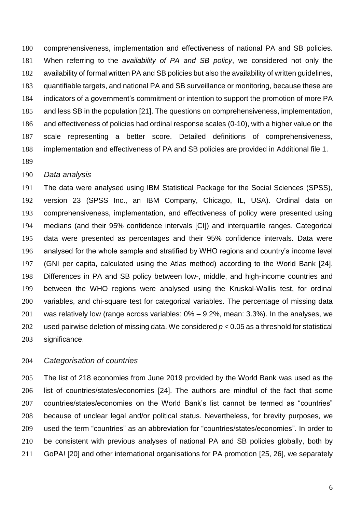comprehensiveness, implementation and effectiveness of national PA and SB policies. When referring to the *availability of PA and SB policy*, we considered not only the availability of formal written PA and SB policies but also the availability of written guidelines, quantifiable targets, and national PA and SB surveillance or monitoring, because these are indicators of a government's commitment or intention to support the promotion of more PA and less SB in the population [21]. The questions on comprehensiveness, implementation, and effectiveness of policies had ordinal response scales (0-10), with a higher value on the scale representing a better score. Detailed definitions of comprehensiveness, implementation and effectiveness of PA and SB policies are provided in Additional file 1. 

#### *Data analysis*

 The data were analysed using IBM Statistical Package for the Social Sciences (SPSS), version 23 (SPSS Inc., an IBM Company, Chicago, IL, USA)*.* Ordinal data on comprehensiveness, implementation, and effectiveness of policy were presented using medians (and their 95% confidence intervals [CI]) and interquartile ranges. Categorical data were presented as percentages and their 95% confidence intervals. Data were analysed for the whole sample and stratified by WHO regions and country's income level (GNI per capita, calculated using the Atlas method) according to the World Bank [24]. Differences in PA and SB policy between low-, middle, and high-income countries and between the WHO regions were analysed using the Kruskal-Wallis test, for ordinal variables, and chi-square test for categorical variables. The percentage of missing data was relatively low (range across variables: 0% – 9.2%, mean: 3.3%). In the analyses, we used pairwise deletion of missing data. We considered *p* < 0.05 as a threshold for statistical significance.

#### *Categorisation of countries*

 The list of 218 economies from June 2019 provided by the World Bank was used as the list of countries/states/economies [24]. The authors are mindful of the fact that some 207 countries/states/economies on the World Bank's list cannot be termed as "countries" because of unclear legal and/or political status. Nevertheless, for brevity purposes, we used the term "countries" as an abbreviation for "countries/states/economies". In order to be consistent with previous analyses of national PA and SB policies globally, both by GoPA! [20] and other international organisations for PA promotion [25, 26], we separately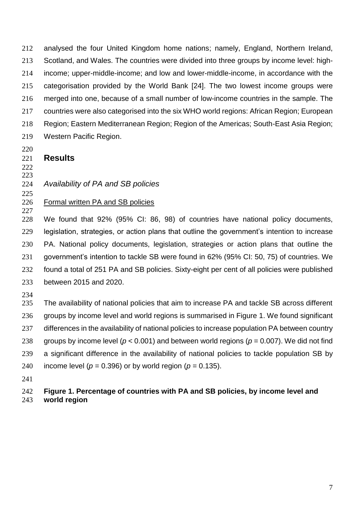analysed the four United Kingdom home nations; namely, England, Northern Ireland, Scotland, and Wales. The countries were divided into three groups by income level: high- income; upper-middle-income; and low and lower-middle-income, in accordance with the categorisation provided by the World Bank [24]. The two lowest income groups were merged into one, because of a small number of low-income countries in the sample. The countries were also categorised into the six WHO world regions: African Region; European Region; Eastern Mediterranean Region; Region of the Americas; South-East Asia Region; Western Pacific Region.

- 
- **Results**
- 

### *Availability of PA and SB policies*

### Formal written PA and SB policies

 We found that 92% (95% CI: 86, 98) of countries have national policy documents, legislation, strategies, or action plans that outline the government's intention to increase PA. National policy documents, legislation, strategies or action plans that outline the government's intention to tackle SB were found in 62% (95% CI: 50, 75) of countries. We found a total of 251 PA and SB policies. Sixty-eight per cent of all policies were published between 2015 and 2020.

 The availability of national policies that aim to increase PA and tackle SB across different groups by income level and world regions is summarised in Figure 1. We found significant 237 differences in the availability of national policies to increase population PA between country groups by income level (*p* < 0.001) and between world regions (*p* = 0.007). We did not find a significant difference in the availability of national policies to tackle population SB by 240 income level  $(p = 0.396)$  or by world region  $(p = 0.135)$ .

### **Figure 1. Percentage of countries with PA and SB policies, by income level and world region**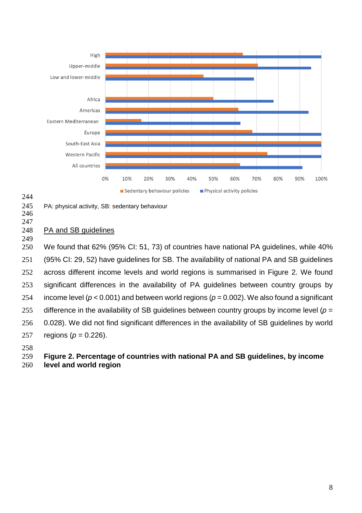

PA: physical activity, SB: sedentary behaviour

 

### PA and SB guidelines

 We found that 62% (95% CI: 51, 73) of countries have national PA guidelines, while 40% (95% CI: 29, 52) have guidelines for SB. The availability of national PA and SB guidelines across different income levels and world regions is summarised in Figure 2. We found significant differences in the availability of PA guidelines between country groups by income level (*p* < 0.001) and between world regions (*p* = 0.002). We also found a significant difference in the availability of SB guidelines between country groups by income level (*p* = 0.028). We did not find significant differences in the availability of SB guidelines by world 257 regions ( $p = 0.226$ ).

**Figure 2. Percentage of countries with national PA and SB guidelines, by income** 

**level and world region**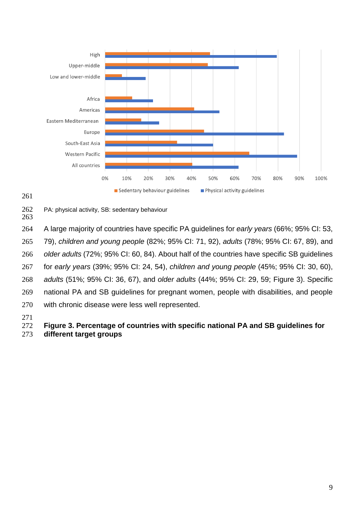

PA: physical activity, SB: sedentary behaviour

 A large majority of countries have specific PA guidelines for *early years* (66%; 95% CI: 53, 79), *children and young people* (82%; 95% CI: 71, 92), *adults* (78%; 95% CI: 67, 89), and *older adults* (72%; 95% CI: 60, 84). About half of the countries have specific SB guidelines for *early years* (39%; 95% CI: 24, 54), *children and young people* (45%; 95% CI: 30, 60), *adults* (51%; 95% CI: 36, 67), and *older adults* (44%; 95% CI: 29, 59; Figure 3). Specific national PA and SB guidelines for pregnant women, people with disabilities, and people

with chronic disease were less well represented.

**Figure 3. Percentage of countries with specific national PA and SB guidelines for**

**different target groups**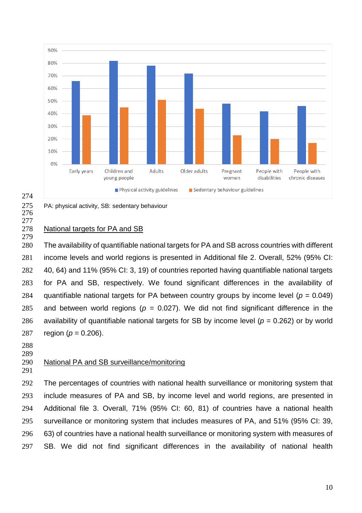





#### 278 National targets for PA and SB

 The availability of quantifiable national targets for PA and SB across countries with different income levels and world regions is presented in Additional file 2. Overall, 52% (95% CI: 40, 64) and 11% (95% CI: 3, 19) of countries reported having quantifiable national targets for PA and SB, respectively. We found significant differences in the availability of 284 quantifiable national targets for PA between country groups by income level ( $p = 0.049$ ) 285 and between world regions ( $p = 0.027$ ). We did not find significant difference in the availability of quantifiable national targets for SB by income level (*p* = 0.262) or by world 287 region ( $p = 0.206$ ).

 

#### National PA and SB surveillance/monitoring

 The percentages of countries with national health surveillance or monitoring system that include measures of PA and SB, by income level and world regions, are presented in Additional file 3. Overall, 71% (95% CI: 60, 81) of countries have a national health surveillance or monitoring system that includes measures of PA, and 51% (95% CI: 39, 63) of countries have a national health surveillance or monitoring system with measures of SB. We did not find significant differences in the availability of national health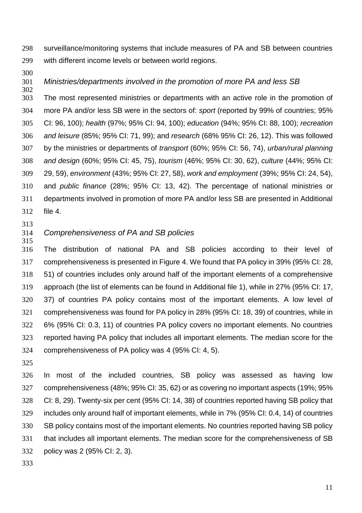surveillance/monitoring systems that include measures of PA and SB between countries with different income levels or between world regions.

#### *Ministries/departments involved in the promotion of more PA and less SB*

 The most represented ministries or departments with an active role in the promotion of more PA and/or less SB were in the sectors of: *sport* (reported by 99% of countries; 95% CI: 96, 100); *health* (97%; 95% CI: 94, 100); *education* (94%; 95% CI: 88, 100); *recreation and leisure* (85%; 95% CI: 71, 99); and *research* (68% 95% CI: 26, 12). This was followed by the ministries or departments of *transport* (60%; 95% CI: 56, 74), *urban/rural planning and design* (60%; 95% CI: 45, 75), *tourism* (46%; 95% CI: 30, 62), *culture* (44%; 95% CI: 29, 59), *environment* (43%; 95% CI: 27, 58), *work and employment* (39%; 95% CI: 24, 54), and *public finance* (28%; 95% CI: 13, 42). The percentage of national ministries or departments involved in promotion of more PA and/or less SB are presented in Additional file 4.

#### *Comprehensiveness of PA and SB policies*

 The distribution of national PA and SB policies according to their level of comprehensiveness is presented in Figure 4. We found that PA policy in 39% (95% CI: 28, 51) of countries includes only around half of the important elements of a comprehensive approach (the list of elements can be found in Additional file 1), while in 27% (95% CI: 17, 37) of countries PA policy contains most of the important elements. A low level of comprehensiveness was found for PA policy in 28% (95% CI: 18, 39) of countries, while in 6% (95% CI: 0.3, 11) of countries PA policy covers no important elements. No countries reported having PA policy that includes all important elements. The median score for the comprehensiveness of PA policy was 4 (95% CI: 4, 5).

 In most of the included countries, SB policy was assessed as having low comprehensiveness (48%; 95% CI: 35, 62) or as covering no important aspects (19%; 95% CI: 8, 29). Twenty-six per cent (95% CI: 14, 38) of countries reported having SB policy that includes only around half of important elements, while in 7% (95% CI: 0.4, 14) of countries SB policy contains most of the important elements. No countries reported having SB policy that includes all important elements. The median score for the comprehensiveness of SB policy was 2 (95% CI: 2, 3).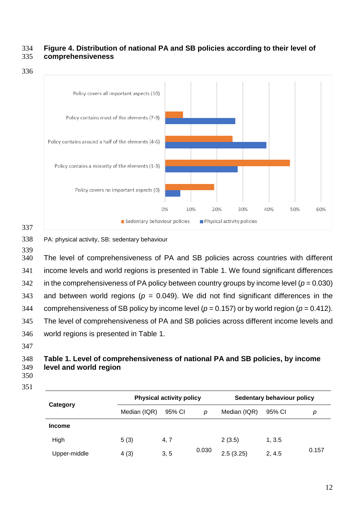# **Figure 4. Distribution of national PA and SB policies according to their level of**

**comprehensiveness**





PA: physical activity, SB: sedentary behaviour

 The level of comprehensiveness of PA and SB policies across countries with different income levels and world regions is presented in Table 1. We found significant differences in the comprehensiveness of PA policy between country groups by income level ( $p = 0.030$ ) 343 and between world regions ( $p = 0.049$ ). We did not find significant differences in the 344 comprehensiveness of SB policy by income level ( $p = 0.157$ ) or by world region ( $p = 0.412$ ). The level of comprehensiveness of PA and SB policies across different income levels and world regions is presented in Table 1.

### **Table 1. Level of comprehensiveness of national PA and SB policies, by income level and world region**

- 
- 

|               | <b>Physical activity policy</b> |        |       | Sedentary behaviour policy |        |       |
|---------------|---------------------------------|--------|-------|----------------------------|--------|-------|
| Category      | Median (IQR)                    | 95% CI | p     | Median (IQR)               | 95% CI | р     |
| <b>Income</b> |                                 |        |       |                            |        |       |
| High          | 5(3)                            | 4, 7   |       | 2(3.5)                     | 1, 3.5 |       |
| Upper-middle  | 4(3)                            | 3, 5   | 0.030 | 2.5(3.25)                  | 2, 4.5 | 0.157 |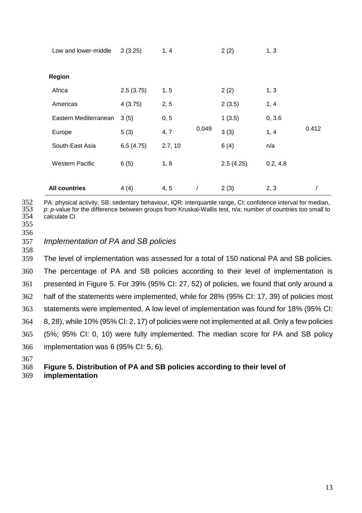| Low and lower-middle   | 2(3.25)<br>1, 4 |         |          | 2(2)      | 1, 3     |       |
|------------------------|-----------------|---------|----------|-----------|----------|-------|
|                        |                 |         |          |           |          |       |
| <b>Region</b>          |                 |         |          |           |          |       |
| Africa                 | 2.5(3.75)       | 1, 5    |          | 2(2)      | 1, 3     |       |
| Americas               | 4(3.75)         | 2, 5    |          | 2(3.5)    | 1, 4     |       |
| Eastern Mediterranean  | 3(5)            | 0, 5    |          | 1(3.5)    | 0, 3.6   |       |
| Europe                 | 5(3)            | 4, 7    | 0.049    | 3(3)      | 1, 4     | 0.412 |
| South-East Asia        | 6.5(4.75)       | 2.7, 10 |          | 6(4)      | n/a      |       |
| <b>Western Pacific</b> | 6(5)            | 1, 8    |          | 2.5(4.25) | 0.2, 4.8 |       |
| <b>All countries</b>   | 4(4)            | 4, 5    | $\prime$ | 2(3)      | 2, 3     |       |

352 PA: physical activity, SB: sedentary behaviour, IQR: interquartile range, CI: confidence interval for median,  $\overline{253}$  p: p-value for the difference between groups from Kruskal-Wallis test, n/a: number of countries 353 *p*: *p*-value for the difference between groups from Kruskal-Wallis test, n/a: number of countries too small to calculate CI

355 356

### 357 *Implementation of PA and SB policies*

358 The level of implementation was assessed for a total of 150 national PA and SB policies. The percentage of PA and SB policies according to their level of implementation is presented in Figure 5. For 39% (95% CI: 27, 52) of policies, we found that only around a half of the statements were implemented, while for 28% (95% CI: 17, 39) of policies most statements were implemented. A low level of implementation was found for 18% (95% CI: 8, 28), while 10% (95% CI: 2, 17) of policies were not implemented at all. Only a few policies (5%; 95% CI: 0, 10) were fully implemented. The median score for PA and SB policy implementation was 6 (95% CI: 5, 6).

367

#### 368 **Figure 5. Distribution of PA and SB policies according to their level of**

369 **implementation**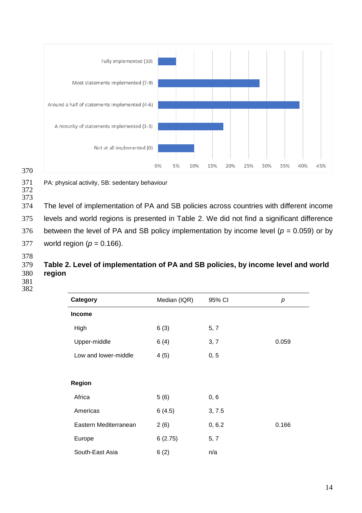

- 371 PA: physical activity, SB: sedentary behaviour
- 372 373

374 The level of implementation of PA and SB policies across countries with different income 375 levels and world regions is presented in Table 2. We did not find a significant difference 376 between the level of PA and SB policy implementation by income level ( $p = 0.059$ ) or by 377 world region  $(p = 0.166)$ .

#### 378 379 **Table 2. Level of implementation of PA and SB policies, by income level and world** 380 **region**

| Category              | Median (IQR) | 95% CI | р     |
|-----------------------|--------------|--------|-------|
| <b>Income</b>         |              |        |       |
| High                  | 6(3)         | 5, 7   |       |
| Upper-middle          | 6(4)         | 3, 7   | 0.059 |
| Low and lower-middle  | 4(5)         | 0, 5   |       |
|                       |              |        |       |
| Region                |              |        |       |
| Africa                | 5(6)         | 0, 6   |       |
| Americas              | 6(4.5)       | 3, 7.5 |       |
| Eastern Mediterranean | 2(6)         | 0, 6.2 | 0.166 |
| Europe                | 6(2.75)      | 5, 7   |       |
| South-East Asia       | 6(2)         | n/a    |       |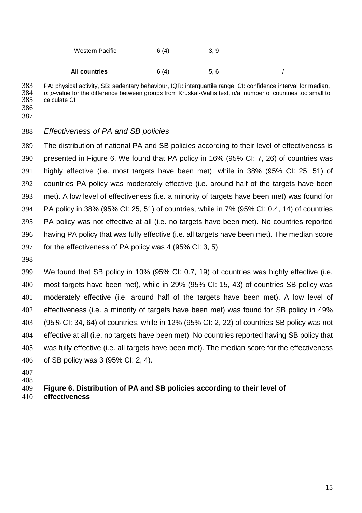| Western Pacific      | 6(4) | 3, 9 |  |
|----------------------|------|------|--|
| <b>All countries</b> | 6(4) | 5, 6 |  |

- 383 PA: physical activity, SB: sedentary behaviour, IQR: interquartile range, CI: confidence interval for median, 384 p: p-value for the difference between groups from Kruskal-Wallis test, n/a: number of countries too smal *p*: *p*-value for the difference between groups from Kruskal-Wallis test, n/a: number of countries too small to calculate CI
- 

### *Effectiveness of PA and SB policies*

 The distribution of national PA and SB policies according to their level of effectiveness is presented in Figure 6. We found that PA policy in 16% (95% CI: 7, 26) of countries was highly effective (i.e. most targets have been met), while in 38% (95% CI: 25, 51) of countries PA policy was moderately effective (i.e. around half of the targets have been met). A low level of effectiveness (i.e. a minority of targets have been met) was found for PA policy in 38% (95% CI: 25, 51) of countries, while in 7% (95% CI: 0.4, 14) of countries PA policy was not effective at all (i.e. no targets have been met). No countries reported having PA policy that was fully effective (i.e. all targets have been met). The median score for the effectiveness of PA policy was 4 (95% CI: 3, 5).

 We found that SB policy in 10% (95% CI: 0.7, 19) of countries was highly effective (i.e. most targets have been met), while in 29% (95% CI: 15, 43) of countries SB policy was moderately effective (i.e. around half of the targets have been met). A low level of effectiveness (i.e. a minority of targets have been met) was found for SB policy in 49% (95% CI: 34, 64) of countries, while in 12% (95% CI: 2, 22) of countries SB policy was not effective at all (i.e. no targets have been met). No countries reported having SB policy that was fully effective (i.e. all targets have been met). The median score for the effectiveness of SB policy was 3 (95% CI: 2, 4).

- 
- 
- **Figure 6. Distribution of PA and SB policies according to their level of effectiveness**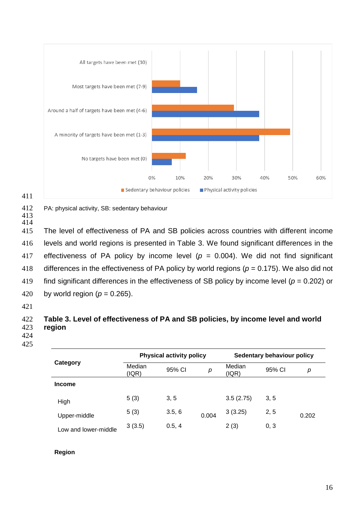

412 PA: physical activity, SB: sedentary behaviour

413 414

 The level of effectiveness of PA and SB policies across countries with different income levels and world regions is presented in Table 3. We found significant differences in the 417 effectiveness of PA policy by income level  $(p = 0.004)$ . We did not find significant differences in the effectiveness of PA policy by world regions (*p* = 0.175). We also did not find significant differences in the effectiveness of SB policy by income level (*p* = 0.202) or 420 by world region  $(p = 0.265)$ .

421

### 422 **Table 3. Level of effectiveness of PA and SB policies, by income level and world** 423 **region**

424 425

|                      | <b>Physical activity policy</b> |        |       | Sedentary behaviour policy |        |       |
|----------------------|---------------------------------|--------|-------|----------------------------|--------|-------|
| Category             | Median<br>(IQR)                 | 95% CI | р     | Median<br>( IQR)           | 95% CI | р     |
| <b>Income</b>        |                                 |        |       |                            |        |       |
| High                 | 5(3)                            | 3, 5   |       | 3.5(2.75)                  | 3, 5   |       |
| Upper-middle         | 5(3)                            | 3.5, 6 | 0.004 | 3(3.25)                    | 2, 5   | 0.202 |
| Low and lower-middle | 3(3.5)                          | 0.5, 4 |       | 2(3)                       | 0, 3   |       |

#### **Region**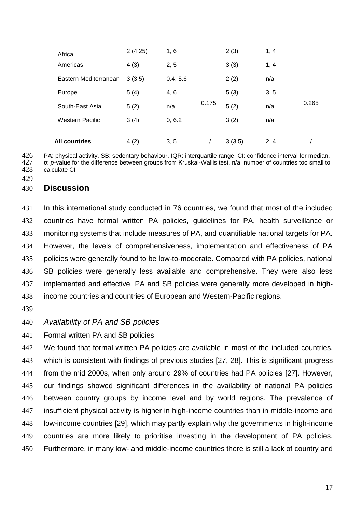| Africa                 | 2(4.25) | 1, 6     |       | 2(3)   | 1, 4 |       |
|------------------------|---------|----------|-------|--------|------|-------|
| Americas               | 4(3)    | 2, 5     |       | 3(3)   | 1, 4 |       |
| Eastern Mediterranean  | 3(3.5)  | 0.4, 5.6 |       | 2(2)   | n/a  |       |
| Europe                 | 5(4)    | 4,6      |       | 5(3)   | 3, 5 |       |
| South-East Asia        | 5(2)    | n/a      | 0.175 | 5(2)   | n/a  | 0.265 |
| <b>Western Pacific</b> | 3(4)    | 0, 6.2   |       | 3(2)   | n/a  |       |
| <b>All countries</b>   | 4(2)    | 3, 5     |       | 3(3.5) | 2, 4 |       |

426 PA: physical activity, SB: sedentary behaviour, IQR: interquartile range, CI: confidence interval for median, p: p-value for the difference between groups from Kruskal-Wallis test, n/a: number of countries too s *p*: *p*-value for the difference between groups from Kruskal-Wallis test, n/a: number of countries too small to 428 calculate CI calculate CI

### **Discussion**

 In this international study conducted in 76 countries, we found that most of the included countries have formal written PA policies, guidelines for PA, health surveillance or monitoring systems that include measures of PA, and quantifiable national targets for PA. However, the levels of comprehensiveness, implementation and effectiveness of PA policies were generally found to be low-to-moderate. Compared with PA policies, national SB policies were generally less available and comprehensive. They were also less implemented and effective. PA and SB policies were generally more developed in high-income countries and countries of European and Western-Pacific regions.

#### *Availability of PA and SB policies*

Formal written PA and SB policies

 We found that formal written PA policies are available in most of the included countries, which is consistent with findings of previous studies [27, 28]. This is significant progress from the mid 2000s, when only around 29% of countries had PA policies [27]. However, our findings showed significant differences in the availability of national PA policies between country groups by income level and by world regions. The prevalence of insufficient physical activity is higher in high-income countries than in middle-income and low-income countries [29], which may partly explain why the governments in high-income countries are more likely to prioritise investing in the development of PA policies. Furthermore, in many low- and middle-income countries there is still a lack of country and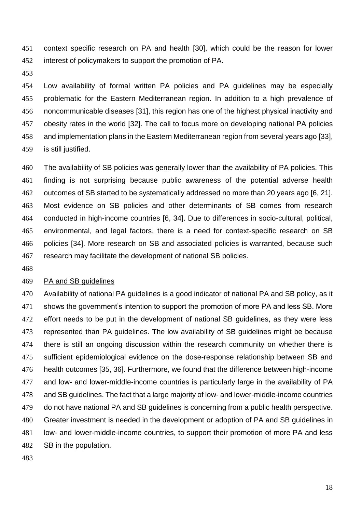context specific research on PA and health [30], which could be the reason for lower interest of policymakers to support the promotion of PA.

 Low availability of formal written PA policies and PA guidelines may be especially problematic for the Eastern Mediterranean region. In addition to a high prevalence of noncommunicable diseases [31], this region has one of the highest physical inactivity and obesity rates in the world [32]. The call to focus more on developing national PA policies and implementation plans in the Eastern Mediterranean region from several years ago [33], is still justified.

 The availability of SB policies was generally lower than the availability of PA policies. This finding is not surprising because public awareness of the potential adverse health outcomes of SB started to be systematically addressed no more than 20 years ago [6, 21]. Most evidence on SB policies and other determinants of SB comes from research conducted in high-income countries [6, 34]. Due to differences in socio-cultural, political, environmental, and legal factors, there is a need for context-specific research on SB policies [34]. More research on SB and associated policies is warranted, because such research may facilitate the development of national SB policies.

#### PA and SB guidelines

 Availability of national PA guidelines is a good indicator of national PA and SB policy, as it shows the government's intention to support the promotion of more PA and less SB. More effort needs to be put in the development of national SB guidelines, as they were less represented than PA guidelines. The low availability of SB guidelines might be because there is still an ongoing discussion within the research community on whether there is sufficient epidemiological evidence on the dose-response relationship between SB and health outcomes [35, 36]. Furthermore, we found that the difference between high-income and low- and lower-middle-income countries is particularly large in the availability of PA and SB guidelines. The fact that a large majority of low- and lower-middle-income countries 479 do not have national PA and SB guidelines is concerning from a public health perspective. Greater investment is needed in the development or adoption of PA and SB guidelines in low- and lower-middle-income countries, to support their promotion of more PA and less SB in the population.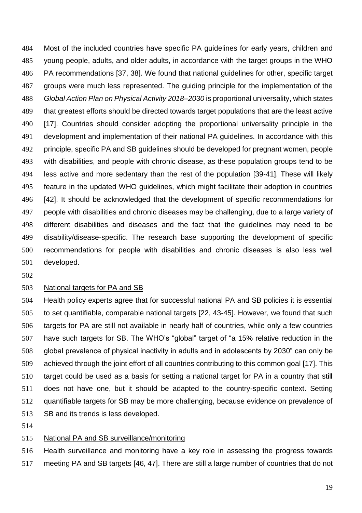Most of the included countries have specific PA guidelines for early years, children and young people, adults, and older adults, in accordance with the target groups in the WHO PA recommendations [37, 38]. We found that national guidelines for other, specific target groups were much less represented. The guiding principle for the implementation of the *Global Action Plan on Physical Activity 2018–2030* is proportional universality, which states that greatest efforts should be directed towards target populations that are the least active [17]. Countries should consider adopting the proportional universality principle in the development and implementation of their national PA guidelines. In accordance with this principle, specific PA and SB guidelines should be developed for pregnant women, people with disabilities, and people with chronic disease, as these population groups tend to be less active and more sedentary than the rest of the population [39-41]. These will likely feature in the updated WHO guidelines, which might facilitate their adoption in countries [42]. It should be acknowledged that the development of specific recommendations for people with disabilities and chronic diseases may be challenging, due to a large variety of different disabilities and diseases and the fact that the guidelines may need to be disability/disease-specific. The research base supporting the development of specific recommendations for people with disabilities and chronic diseases is also less well developed.

#### National targets for PA and SB

 Health policy experts agree that for successful national PA and SB policies it is essential to set quantifiable, comparable national targets [22, 43-45]. However, we found that such targets for PA are still not available in nearly half of countries, while only a few countries have such targets for SB. The WHO's "global" target of "a 15% relative reduction in the global prevalence of physical inactivity in adults and in adolescents by 2030" can only be achieved through the joint effort of all countries contributing to this common goal [17]. This target could be used as a basis for setting a national target for PA in a country that still does not have one, but it should be adapted to the country-specific context. Setting quantifiable targets for SB may be more challenging, because evidence on prevalence of SB and its trends is less developed.

#### National PA and SB surveillance/monitoring

 Health surveillance and monitoring have a key role in assessing the progress towards meeting PA and SB targets [46, 47]. There are still a large number of countries that do not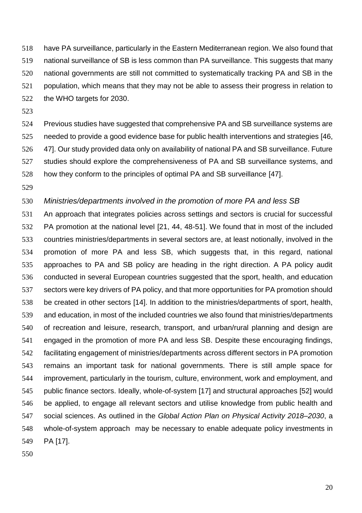have PA surveillance, particularly in the Eastern Mediterranean region. We also found that national surveillance of SB is less common than PA surveillance. This suggests that many national governments are still not committed to systematically tracking PA and SB in the 521 population, which means that they may not be able to assess their progress in relation to the WHO targets for 2030.

 Previous studies have suggested that comprehensive PA and SB surveillance systems are needed to provide a good evidence base for public health interventions and strategies [46, 47]. Our study provided data only on availability of national PA and SB surveillance. Future studies should explore the comprehensiveness of PA and SB surveillance systems, and how they conform to the principles of optimal PA and SB surveillance [47].

#### *Ministries/departments involved in the promotion of more PA and less SB*

 An approach that integrates policies across settings and sectors is crucial for successful PA promotion at the national level [21, 44, 48-51]. We found that in most of the included countries ministries/departments in several sectors are, at least notionally, involved in the promotion of more PA and less SB, which suggests that, in this regard, national approaches to PA and SB policy are heading in the right direction. A PA policy audit conducted in several European countries suggested that the sport, health, and education sectors were key drivers of PA policy, and that more opportunities for PA promotion should be created in other sectors [14]. In addition to the ministries/departments of sport, health, and education, in most of the included countries we also found that ministries/departments of recreation and leisure, research, transport, and urban/rural planning and design are engaged in the promotion of more PA and less SB. Despite these encouraging findings, facilitating engagement of ministries/departments across different sectors in PA promotion remains an important task for national governments. There is still ample space for improvement, particularly in the tourism, culture, environment, work and employment, and public finance sectors. Ideally, whole-of-system [17] and structural approaches [52] would be applied, to engage all relevant sectors and utilise knowledge from public health and social sciences. As outlined in the *Global Action Plan on Physical Activity 2018–2030*, a whole-of-system approach may be necessary to enable adequate policy investments in PA [17].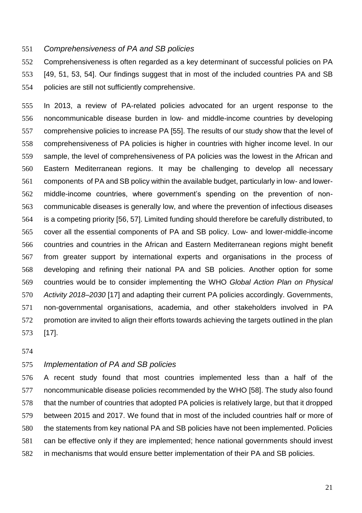#### *Comprehensiveness of PA and SB policies*

 Comprehensiveness is often regarded as a key determinant of successful policies on PA [49, 51, 53, 54]. Our findings suggest that in most of the included countries PA and SB policies are still not sufficiently comprehensive.

 In 2013, a review of PA-related policies advocated for an urgent response to the noncommunicable disease burden in low- and middle-income countries by developing comprehensive policies to increase PA [55]. The results of our study show that the level of comprehensiveness of PA policies is higher in countries with higher income level. In our sample, the level of comprehensiveness of PA policies was the lowest in the African and Eastern Mediterranean regions. It may be challenging to develop all necessary components of PA and SB policy within the available budget, particularly in low- and lower- middle-income countries, where government's spending on the prevention of non- communicable diseases is generally low, and where the prevention of infectious diseases is a competing priority [56, 57]. Limited funding should therefore be carefully distributed, to cover all the essential components of PA and SB policy. Low- and lower-middle-income countries and countries in the African and Eastern Mediterranean regions might benefit from greater support by international experts and organisations in the process of developing and refining their national PA and SB policies. Another option for some countries would be to consider implementing the WHO *Global Action Plan on Physical Activity 2018–2030* [17] and adapting their current PA policies accordingly. Governments, non-governmental organisations, academia, and other stakeholders involved in PA 572 promotion are invited to align their efforts towards achieving the targets outlined in the plan [17].

#### *Implementation of PA and SB policies*

 A recent study found that most countries implemented less than a half of the noncommunicable disease policies recommended by the WHO [58]. The study also found that the number of countries that adopted PA policies is relatively large, but that it dropped between 2015 and 2017. We found that in most of the included countries half or more of the statements from key national PA and SB policies have not been implemented. Policies can be effective only if they are implemented; hence national governments should invest in mechanisms that would ensure better implementation of their PA and SB policies.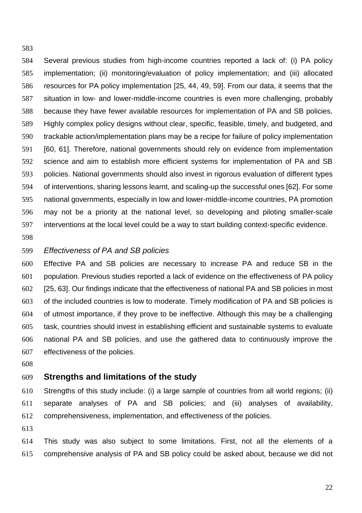Several previous studies from high-income countries reported a lack of: (i) PA policy implementation; (ii) monitoring/evaluation of policy implementation; and (iii) allocated resources for PA policy implementation [25, 44, 49, 59]. From our data, it seems that the situation in low- and lower-middle-income countries is even more challenging, probably because they have fewer available resources for implementation of PA and SB policies. Highly complex policy designs without clear, specific, feasible, timely, and budgeted, and trackable action/implementation plans may be a recipe for failure of policy implementation [60, 61]. Therefore, national governments should rely on evidence from implementation science and aim to establish more efficient systems for implementation of PA and SB policies. National governments should also invest in rigorous evaluation of different types of interventions, sharing lessons learnt, and scaling-up the successful ones [62]. For some national governments, especially in low and lower-middle-income countries, PA promotion may not be a priority at the national level, so developing and piloting smaller-scale interventions at the local level could be a way to start building context-specific evidence.

#### *Effectiveness of PA and SB policies*

 Effective PA and SB policies are necessary to increase PA and reduce SB in the population. Previous studies reported a lack of evidence on the effectiveness of PA policy [25, 63]. Our findings indicate that the effectiveness of national PA and SB policies in most of the included countries is low to moderate. Timely modification of PA and SB policies is of utmost importance, if they prove to be ineffective. Although this may be a challenging task, countries should invest in establishing efficient and sustainable systems to evaluate national PA and SB policies, and use the gathered data to continuously improve the effectiveness of the policies.

### **Strengths and limitations of the study**

 Strengths of this study include: (i) a large sample of countries from all world regions; (ii) separate analyses of PA and SB policies; and (iii) analyses of availability, comprehensiveness, implementation, and effectiveness of the policies.

 This study was also subject to some limitations. First, not all the elements of a comprehensive analysis of PA and SB policy could be asked about, because we did not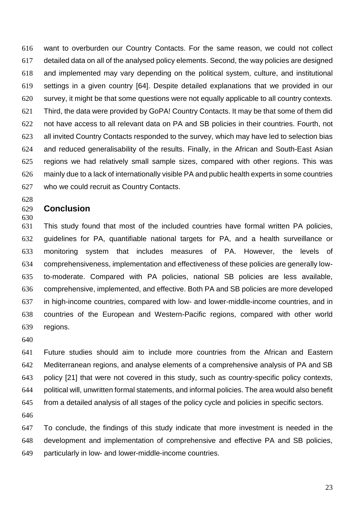want to overburden our Country Contacts. For the same reason, we could not collect detailed data on all of the analysed policy elements. Second, the way policies are designed and implemented may vary depending on the political system, culture, and institutional settings in a given country [64]. Despite detailed explanations that we provided in our survey, it might be that some questions were not equally applicable to all country contexts. Third, the data were provided by GoPA! Country Contacts. It may be that some of them did not have access to all relevant data on PA and SB policies in their countries. Fourth, not all invited Country Contacts responded to the survey, which may have led to selection bias and reduced generalisability of the results. Finally, in the African and South-East Asian regions we had relatively small sample sizes, compared with other regions. This was mainly due to a lack of internationally visible PA and public health experts in some countries who we could recruit as Country Contacts.

#### **Conclusion**

 This study found that most of the included countries have formal written PA policies, guidelines for PA, quantifiable national targets for PA, and a health surveillance or monitoring system that includes measures of PA. However, the levels of comprehensiveness, implementation and effectiveness of these policies are generally low- to-moderate. Compared with PA policies, national SB policies are less available, comprehensive, implemented, and effective. Both PA and SB policies are more developed in high-income countries, compared with low- and lower-middle-income countries, and in countries of the European and Western-Pacific regions, compared with other world regions.

 Future studies should aim to include more countries from the African and Eastern Mediterranean regions, and analyse elements of a comprehensive analysis of PA and SB policy [21] that were not covered in this study, such as country-specific policy contexts, political will, unwritten formal statements, and informal policies. The area would also benefit from a detailed analysis of all stages of the policy cycle and policies in specific sectors.

 To conclude, the findings of this study indicate that more investment is needed in the development and implementation of comprehensive and effective PA and SB policies, particularly in low- and lower-middle-income countries.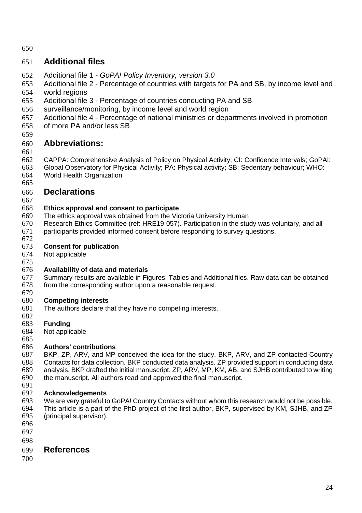### **Additional files**

- Additional file 1 *GoPA! Policy Inventory, version 3.0*
- Additional file 2 Percentage of countries with targets for PA and SB, by income level and world regions
- Additional file 3 Percentage of countries conducting PA and SB
- surveillance/monitoring, by income level and world region
- Additional file 4 Percentage of national ministries or departments involved in promotion
- of more PA and/or less SB
- 

### **Abbreviations:**

661<br>662

- CAPPA: Comprehensive Analysis of Policy on Physical Activity; CI: Confidence Intervals; GoPA!: Global Observatory for Physical Activity; PA: Physical activity; SB: Sedentary behaviour; WHO:
- World Health Organization
- 

### **Declarations**

#### **Ethics approval and consent to participate**

- The ethics approval was obtained from the Victoria University Human
- Research Ethics Committee (ref: HRE19-057). Participation in the study was voluntary, and all participants provided informed consent before responding to survey questions.
- 

### **Consent for publication**

- Not applicable
- 

### **Availability of data and materials**

- Summary results are available in Figures, Tables and Additional files. Raw data can be obtained from the corresponding author upon a reasonable request.
- 

### **Competing interests**

- The authors declare that they have no competing interests.
- 
- **Funding**
- Not applicable

#### **Authors' contributions**

- BKP, ZP, ARV, and MP conceived the idea for the study. BKP, ARV, and ZP contacted Country Contacts for data collection. BKP conducted data analysis. ZP provided support in conducting data analysis. BKP drafted the initial manuscript. ZP, ARV, MP, KM, AB, and SJHB contributed to writing the manuscript. All authors read and approved the final manuscript.
- 

## **Acknowledgements**

- We are very grateful to GoPA! Country Contacts without whom this research would not be possible. This article is a part of the PhD project of the first author, BKP, supervised by KM, SJHB, and ZP (principal supervisor).
- 
- 
- 

### **References**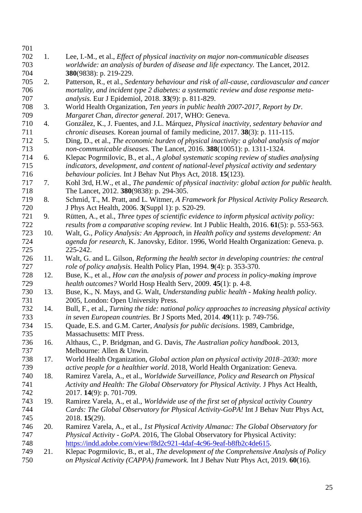| 701 |     |                                                                                                |
|-----|-----|------------------------------------------------------------------------------------------------|
| 702 | 1.  | Lee, I.-M., et al., <i>Effect of physical inactivity on major non-communicable diseases</i>    |
| 703 |     | worldwide: an analysis of burden of disease and life expectancy. The Lancet, 2012.             |
| 704 |     | 380(9838): p. 219-229.                                                                         |
| 705 | 2.  | Patterson, R., et al., Sedentary behaviour and risk of all-cause, cardiovascular and cancer    |
| 706 |     | mortality, and incident type 2 diabetes: a systematic review and dose response meta-           |
| 707 |     | analysis. Eur J Epidemiol, 2018. 33(9): p. 811-829.                                            |
| 708 | 3.  | World Health Organization, Ten years in public health 2007-2017, Report by Dr.                 |
| 709 |     | Margaret Chan, director general. 2017, WHO: Geneva.                                            |
| 710 | 4.  | González, K., J. Fuentes, and J.L. Márquez, Physical inactivity, sedentary behavior and        |
| 711 |     | chronic diseases. Korean journal of family medicine, 2017. 38(3): p. 111-115.                  |
| 712 | 5.  |                                                                                                |
|     |     | Ding, D., et al., The economic burden of physical inactivity: a global analysis of major       |
| 713 |     | non-communicable diseases. The Lancet, 2016. 388(10051): p. 1311-1324.                         |
| 714 | 6.  | Klepac Pogrmilovic, B., et al., A global systematic scoping review of studies analysing        |
| 715 |     | indicators, development, and content of national-level physical activity and sedentary         |
| 716 |     | behaviour policies. Int J Behav Nut Phys Act, 2018. 15(123).                                   |
| 717 | 7.  | Kohl 3rd, H.W., et al., The pandemic of physical inactivity: global action for public health.  |
| 718 |     | The Lancet, 2012. 380(9838): p. 294-305.                                                       |
| 719 | 8.  | Schmid, T., M. Pratt, and L. Witmer, A Framework for Physical Activity Policy Research.        |
| 720 |     | J Phys Act Health, 2006. 3(Suppl 1): p. S20-29.                                                |
| 721 | 9.  | Rütten, A., et al., Three types of scientific evidence to inform physical activity policy:     |
| 722 |     | results from a comparative scoping review. Int J Public Health, 2016. 61(5): p. 553-563.       |
| 723 | 10. | Walt, G., Policy Analysis: An Approach, in Health policy and systems development: An           |
| 724 |     | agenda for research, K. Janovsky, Editor. 1996, World Health Organization: Geneva. p.          |
| 725 |     | 225-242.                                                                                       |
| 726 | 11. | Walt, G. and L. Gilson, Reforming the health sector in developing countries: the central       |
| 727 |     | role of policy analysis. Health Policy Plan, 1994. 9(4): p. 353-370.                           |
| 728 | 12. | Buse, K., et al., How can the analysis of power and process in policy-making improve           |
| 729 |     | health outcomes? World Hosp Health Serv, 2009. 45(1): p. 4-8.                                  |
| 730 | 13. | Buse, K., N. Mays, and G. Walt, Understanding public health - Making health policy.            |
| 731 |     | 2005, London: Open University Press.                                                           |
| 732 | 14. | Bull, F., et al., Turning the tide: national policy approaches to increasing physical activity |
| 733 |     | in seven European countries. Br J Sports Med, 2014. 49(11): p. 749-756.                        |
| 734 | 15. | Quade, E.S. and G.M. Carter, Analysis for public decisions. 1989, Cambridge,                   |
| 735 |     | Massachusetts: MIT Press.                                                                      |
| 736 | 16. | Althaus, C., P. Bridgman, and G. Davis, The Australian policy handbook. 2013,                  |
| 737 |     | Melbourne: Allen & Unwin.                                                                      |
| 738 | 17. | World Health Organization, Global action plan on physical activity 2018-2030: more             |
| 739 |     | active people for a healthier world. 2018, World Health Organization: Geneva.                  |
| 740 | 18. | Ramirez Varela, A., et al., Worldwide Surveillance, Policy and Research on Physical            |
| 741 |     | Activity and Health: The Global Observatory for Physical Activity. J Phys Act Health,          |
| 742 |     |                                                                                                |
|     |     | 2017. 14(9): p. 701-709.                                                                       |
| 743 | 19. | Ramirez Varela, A., et al., Worldwide use of the first set of physical activity Country        |
| 744 |     | Cards: The Global Observatory for Physical Activity-GoPA! Int J Behav Nutr Phys Act,           |
| 745 |     | 2018. 15(29).                                                                                  |
| 746 | 20. | Ramirez Varela, A., et al., 1st Physical Activity Almanac: The Global Observatory for          |
| 747 |     | Physical Activity - GoPA. 2016, The Global Observatory for Physical Activity:                  |
| 748 |     | https://indd.adobe.com/view/f8d2c921-4daf-4c96-9eaf-b8fb2c4de615.                              |
| 749 | 21. | Klepac Pogrmilovic, B., et al., The development of the Comprehensive Analysis of Policy        |
| 750 |     | on Physical Activity (CAPPA) framework. Int J Behav Nutr Phys Act, 2019. 60(16).               |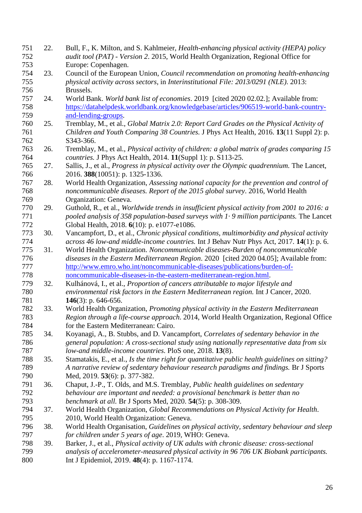- 22. Bull, F., K. Milton, and S. Kahlmeier, *Health-enhancing physical activity (HEPA) policy audit tool (PAT) - Version 2*. 2015, World Health Organization, Regional Office for Europe: Copenhagen. 23. Council of the European Union, *Council recommendation on promoting health-enhancing physical activity across sectors*, in *Interinstitutional File: 2013/0291 (NLE)*. 2013: Brussels. 24. World Bank. *World bank list of economies*. 2019 [cited 2020 02.02.]; Available from: [https://datahelpdesk.worldbank.org/knowledgebase/articles/906519-world-bank-country-](https://datahelpdesk.worldbank.org/knowledgebase/articles/906519-world-bank-country-and-lending-groups) [and-lending-groups.](https://datahelpdesk.worldbank.org/knowledgebase/articles/906519-world-bank-country-and-lending-groups) 25. Tremblay, M., et al., *Global Matrix 2.0: Report Card Grades on the Physical Activity of Children and Youth Comparing 38 Countries.* J Phys Act Health, 2016. **13**(11 Suppl 2): p. S343-366. 26. Tremblay, M., et al., *Physical activity of children: a global matrix of grades comparing 15 countries.* J Phys Act Health, 2014. **11**(Suppl 1): p. S113-25. 27. Sallis, J., et al., *Progress in physical activity over the Olympic quadrennium.* The Lancet, 2016. **388**(10051): p. 1325-1336. 28. World Health Organization, *Assessing national capacity for the prevention and control of noncommunicable diseases. Report of the 2015 global survey*. 2016, World Health Organization: Geneva. 29. Guthold, R., et al., *Worldwide trends in insufficient physical activity from 2001 to 2016: a pooled analysis of 358 population-based surveys with 1· 9 million participants.* The Lancet Global Health, 2018. **6**(10): p. e1077-e1086. 30. Vancampfort, D., et al., *Chronic physical conditions, multimorbidity and physical activity across 46 low-and middle-income countries.* Int J Behav Nutr Phys Act, 2017. **14**(1): p. 6. 31. World Health Organization. *Noncommunicable diseases-Burden of noncommunicable diseases in the Eastern Mediterranean Region*. 2020 [cited 2020 04.05]; Available from: [http://www.emro.who.int/noncommunicable-diseases/publications/burden-of](http://www.emro.who.int/noncommunicable-diseases/publications/burden-of-noncommunicable-diseases-in-the-eastern-mediterranean-region.html)[noncommunicable-diseases-in-the-eastern-mediterranean-region.html.](http://www.emro.who.int/noncommunicable-diseases/publications/burden-of-noncommunicable-diseases-in-the-eastern-mediterranean-region.html)<br>779 32. Kulhánová, I., et al., *Proportion of cancers attributable to major lifest*  32. Kulhánová, I., et al., *Proportion of cancers attributable to major lifestyle and environmental risk factors in the Eastern Mediterranean region.* Int J Cancer, 2020. **146**(3): p. 646-656. 33. World Health Organization, *Promoting physical activity in the Eastern Mediterranean Region through a life-course approach*. 2014, World Health Organization, Regional Office for the Eastern Mediterranean: Cairo. 34. Koyanagi, A., B. Stubbs, and D. Vancampfort, *Correlates of sedentary behavior in the general population: A cross-sectional study using nationally representative data from six low-and middle-income countries.* PloS one, 2018. **13**(8). 35. Stamatakis, E., et al., *Is the time right for quantitative public health guidelines on sitting? A narrative review of sedentary behaviour research paradigms and findings.* Br J Sports Med, 2019. **53**(6): p. 377-382. 36. Chaput, J.-P., T. Olds, and M.S. Tremblay, *Public health guidelines on sedentary behaviour are important and needed: a provisional benchmark is better than no benchmark at all.* Br J Sports Med, 2020. **54**(5): p. 308-309. 37. World Health Organization, *Global Recommendations on Physical Activity for Health*. 2010, World Health Organization: Geneva. 38. World Health Organisation, *Guidelines on physical activity, sedentary behaviour and sleep for children under 5 years of age*. 2019, WHO: Geneva. 39. Barker, J., et al., *Physical activity of UK adults with chronic disease: cross-sectional analysis of accelerometer-measured physical activity in 96 706 UK Biobank participants.*
- Int J Epidemiol, 2019. **48**(4): p. 1167-1174.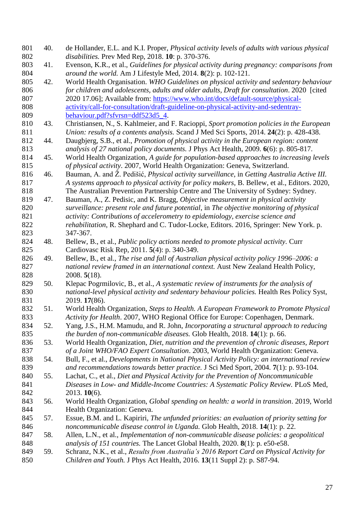40. de Hollander, E.L. and K.I. Proper, *Physical activity levels of adults with various physical disabilities.* Prev Med Rep, 2018. **10**: p. 370-376. 41. Evenson, K.R., et al., *Guidelines for physical activity during pregnancy: comparisons from around the world.* Am J Lifestyle Med, 2014. **8**(2): p. 102-121. 42. World Health Organisation. *WHO Guidelines on physical activity and sedentary behaviour for children and adolescents, adults and older adults, Draft for consultation*. 2020 [cited 2020 17.06]; Available from: [https://www.who.int/docs/default-source/physical-](https://www.who.int/docs/default-source/physical-activity/call-for-consultation/draft-guideline-on-physical-activity-and-sedentray-behaviour.pdf?sfvrsn=ddf523d5_4) [activity/call-for-consultation/draft-guideline-on-physical-activity-and-sedentray](https://www.who.int/docs/default-source/physical-activity/call-for-consultation/draft-guideline-on-physical-activity-and-sedentray-behaviour.pdf?sfvrsn=ddf523d5_4)[behaviour.pdf?sfvrsn=ddf523d5\\_4.](https://www.who.int/docs/default-source/physical-activity/call-for-consultation/draft-guideline-on-physical-activity-and-sedentray-behaviour.pdf?sfvrsn=ddf523d5_4) 43. Christiansen, N., S. Kahlmeier, and F. Racioppi, *Sport promotion policies in the European Union: results of a contents analysis.* Scand J Med Sci Sports, 2014. **24**(2): p. 428-438. 44. Daugbjerg, S.B., et al., *Promotion of physical activity in the European region: content analysis of 27 national policy documents.* J Phys Act Health, 2009. **6**(6): p. 805-817. 45. World Health Organization, *A guide for population-based approaches to increasing levels of physical activity*. 2007, World Health Organization: Geneva, Switzerland. 46. Bauman, A. and Ž. Pedišić, *Physical activity surveillance*, in *Getting Australia Active III. A systems approach to physical activity for policy makers*, B. Bellew, et al., Editors. 2020, The Australian Prevention Partnership Centre and The University of Sydney: Sydney. 47. Bauman, A., Z. Pedisic, and K. Bragg, *Objective measurement in physical activity surveillance: present role and future potential*, in *The objective monitoring of physical activity: Contributions of accelerometry to epidemiology, exercise science and rehabilitation*, R. Shephard and C. Tudor-Locke, Editors. 2016, Springer: New York. p. 347-367. 48. Bellew, B., et al., *Public policy actions needed to promote physical activity.* Curr Cardiovasc Risk Rep, 2011. **5**(4): p. 340-349. 49. Bellew, B., et al., *The rise and fall of Australian physical activity policy 1996–2006: a national review framed in an international context.* Aust New Zealand Health Policy, 2008. **5**(18). 50. Klepac Pogrmilovic, B., et al., *A systematic review of instruments for the analysis of national-level physical activity and sedentary behaviour policies.* Health Res Policy Syst, 2019. **17**(86). 51. World Health Organization, *Steps to Health. A European Framework to Promote Physical Activity for Health*. 2007, WHO Regional Office for Europe: Copenhagen, Denmark. 52. Yang, J.S., H.M. Mamudu, and R. John, *Incorporating a structural approach to reducing the burden of non-communicable diseases.* Glob Health, 2018. **14**(1): p. 66. 53. World Health Organization, *Diet, nutrition and the prevention of chronic diseases, Report of a Joint WHO/FAO Expert Consultation*. 2003, World Health Organization: Geneva. 54. Bull, F., et al., *Developments in National Physical Activity Policy: an international review and recommendations towards better practice.* J Sci Med Sport, 2004. **7**(1): p. 93-104. 55. Lachat, C., et al., *Diet and Physical Activity for the Prevention of Noncommunicable Diseases in Low- and Middle-Income Countries: A Systematic Policy Review.* PLoS Med, 2013. **10**(6). 56. World Health Organization, *Global spending on health: a world in transition*. 2019, World Health Organization: Geneva. 57. Essue, B.M. and L. Kapiriri, *The unfunded priorities: an evaluation of priority setting for noncommunicable disease control in Uganda.* Glob Health, 2018. **14**(1): p. 22. 58. Allen, L.N., et al., *Implementation of non-communicable disease policies: a geopolitical analysis of 151 countries.* The Lancet Global Health, 2020. **8**(1): p. e50-e58. 59. Schranz, N.K., et al., *Results from Australia's 2016 Report Card on Physical Activity for Children and Youth.* J Phys Act Health, 2016. **13**(11 Suppl 2): p. S87-94.